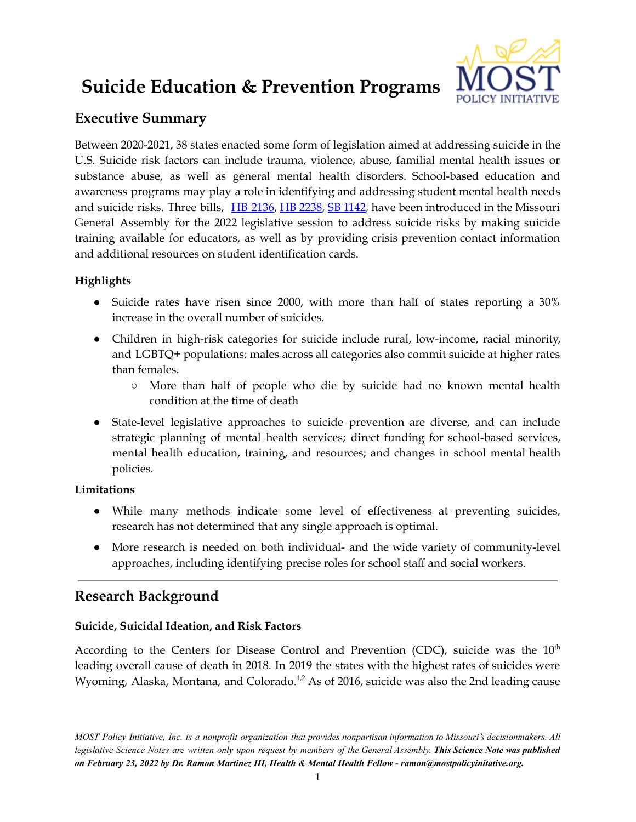# **Suicide Education & Prevention Programs**



# **Executive Summary**

Between 2020-2021, 38 states enacted some form of legislation aimed at addressing suicide in the U.S. Suicide risk factors can include trauma, violence, abuse, familial mental health issues or substance abuse, as well as general mental health disorders. School-based education and awareness programs may play a role in identifying and addressing student mental health needs and suicide risks. Three bills, HB [2136](https://house.mo.gov/bill.aspx?bill=HB2136&year=2022&code=R), HB [2238](https://house.mo.gov/bill.aspx?bill=HB2238&year=2022&code=R), SB [1142](https://www.senate.mo.gov/22info/BTS_Web/Bill.aspx?SessionType=R&BillID=75694409), have been introduced in the Missouri General Assembly for the 2022 legislative session to address suicide risks by making suicide training available for educators, as well as by providing crisis prevention contact information and additional resources on student identification cards.

# **Highlights**

- Suicide rates have risen since 2000, with more than half of states reporting a 30% increase in the overall number of suicides.
- Children in high-risk categories for suicide include rural, low-income, racial minority, and LGBTQ+ populations; males across all categories also commit suicide at higher rates than females.
	- More than half of people who die by suicide had no known mental health condition at the time of death
- State-level legislative approaches to suicide prevention are diverse, and can include strategic planning of mental health services; direct funding for school-based services, mental health education, training, and resources; and changes in school mental health policies.

## **Limitations**

- While many methods indicate some level of effectiveness at preventing suicides, research has not determined that any single approach is optimal.
- More research is needed on both individual- and the wide variety of community-level approaches, including identifying precise roles for school staff and social workers.

# **Research Background**

## **Suicide, Suicidal Ideation, and Risk Factors**

According to the Centers for Disease Control and Prevention (CDC), suicide was the 10<sup>th</sup> leading overall cause of death in 2018. In 2019 the states with the highest rates of suicides were Wyoming, Alaska, Montana, and Colorado.<sup>1,2</sup> As of 2016, suicide was also the 2nd leading cause

MOST Policy Initiative, Inc. is a nonprofit organization that provides nonpartisan information to Missouri's decisionmakers. All legislative Science Notes are written only upon request by members of the General Assembly. This Science Note was published *on February 23, 2022 by Dr. Ramon Martinez III, Health & Mental Health Fellow - ramon@mostpolicyinitative.org.*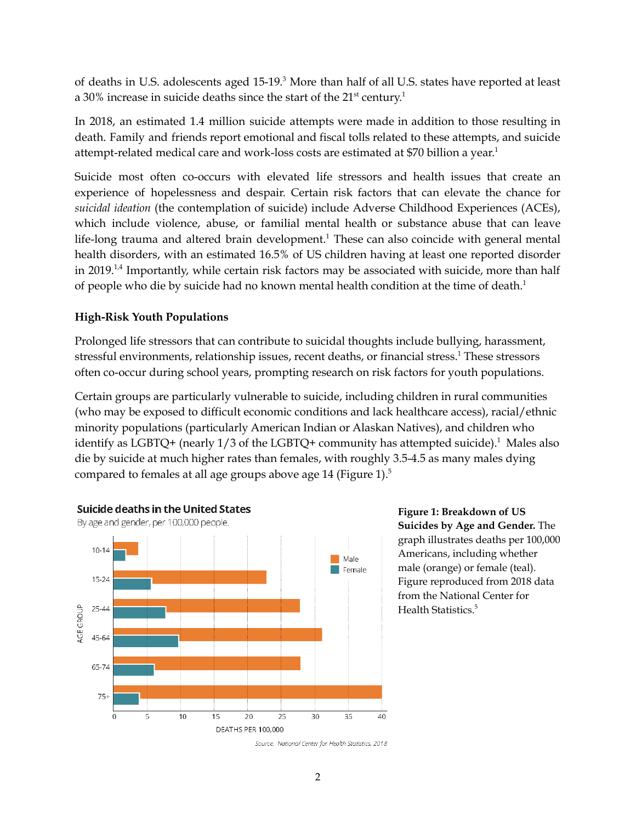of deaths in U.S. adolescents aged 15-19.<sup>3</sup> More than half of all U.S. states have reported at least a 30% increase in suicide deaths since the start of the  $21<sup>st</sup>$  century.<sup>1</sup>

In 2018, an estimated 1.4 million suicide attempts were made in addition to those resulting in death. Family and friends report emotional and fiscal tolls related to these attempts, and suicide attempt-related medical care and work-loss costs are estimated at \$70 billion a year. 1

Suicide most often co-occurs with elevated life stressors and health issues that create an experience of hopelessness and despair. Certain risk factors that can elevate the chance for *suicidal ideation* (the contemplation of suicide) include Adverse Childhood Experiences (ACEs), which include violence, abuse, or familial mental health or substance abuse that can leave life-long trauma and altered brain development. <sup>1</sup> These can also coincide with general mental health disorders, with an estimated 16.5% of US children having at least one reported disorder in 2019.<sup>1,4</sup> Importantly, while certain risk factors may be associated with suicide, more than half of people who die by suicide had no known mental health condition at the time of death.<sup>1</sup>

### **High-Risk Youth Populations**

Prolonged life stressors that can contribute to suicidal thoughts include bullying, harassment, stressful environments, relationship issues, recent deaths, or financial stress. <sup>1</sup> These stressors often co-occur during school years, prompting research on risk factors for youth populations.

Certain groups are particularly vulnerable to suicide, including children in rural communities (who may be exposed to difficult economic conditions and lack healthcare access), racial/ethnic minority populations (particularly American Indian or Alaskan Natives), and children who identify as LGBTQ+ (nearly 1/3 of the LGBTQ+ community has attempted suicide). <sup>1</sup> Males also die by suicide at much higher rates than females, with roughly 3.5-4.5 as many males dying compared to females at all age groups above age 14 (Figure 1). $^5$ 



**Figure 1: Breakdown of US Suicides by Age and Gender.** The graph illustrates deaths per 100,000 Americans, including whether male (orange) or female (teal). Figure reproduced from 2018 data from the National Center for Health Statistics. 5

Source: National Center for Health Statistics, 2018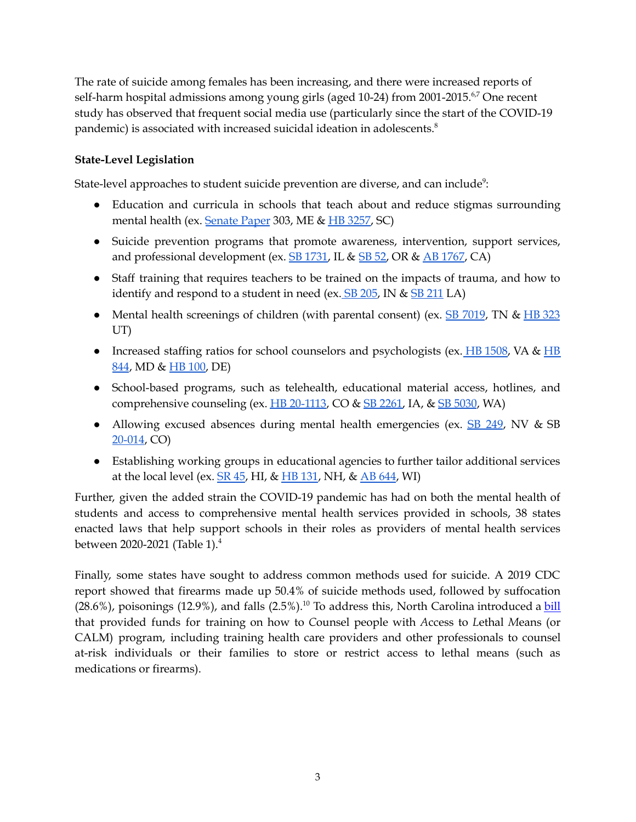The rate of suicide among females has been increasing, and there were increased reports of self-harm hospital admissions among young girls (aged 10-24) from 2001-2015.<sup>6,7</sup> One recent study has observed that frequent social media use (particularly since the start of the COVID-19 pandemic) is associated with increased suicidal ideation in adolescents. 8

#### **State-Level Legislation**

State-level approaches to student suicide prevention are diverse, and can include<sup>9</sup>:

- Education and curricula in schools that teach about and reduce stigmas surrounding mental health (ex. [Senate](https://legislature.maine.gov/legis/bills/getPDF.asp?paper=SP0303&item=1&snum=129) Paper 303, ME & HB [3257,](https://statenet.lexisnexis.com/usa/legislation/SC/2019000/H/3257/overview) SC)
- Suicide prevention programs that promote awareness, intervention, support services, and professional development (ex. **[SB](https://olis.oregonlegislature.gov/liz/2019R1/Downloads/MeasureDocument/SB52/Enrolled) 1731**, IL & **SB 52**, OR & AB [1767](https://leginfo.legislature.ca.gov/faces/billTextClient.xhtml?bill_id=201920200AB1767), CA)
- Staff training that requires teachers to be trained on the impacts of trauma, and how to identify and respond to a student in need (ex.  $SB$  [205](https://legiscan.com/IN/text/SB0205/id/2229049/Indiana-2021-SB0205-Introduced.pdf), IN &  $SB$  [211](http://www.legis.la.gov/legis/BillInfo.aspx?s=21rs&b=SB211&sbi=y) LA)
- Mental health screenings of children (with parental consent) (ex. SB [7019](https://wapp.capitol.tn.gov/apps/Billinfo/default.aspx?BillNumber=SB7019&ga=112), TN & HB [323](https://le.utah.gov/~2020/bills/static/HB0323.html) UT)
- Increased staffing ratios for school counselors and psychologists (ex.  $\overline{HB}$  $\overline{HB}$  $\overline{HB}$  [1508,](https://lis.virginia.gov/cgi-bin/legp604.exe?201+bil+HB1508) VA &  $\overline{HB}$ [844](http://mgaleg.maryland.gov/mgawebsite/Legislation/Details/HB0844?ys=2019rs), MD & HB [100](https://legis.delaware.gov/BillDetail/47233), DE)
- School-based programs, such as telehealth, educational material access, hotlines, and comprehensive counseling (ex.  $\overline{HB}$  [20-1113](https://leg.colorado.gov/sites/default/files/2020a_1113_signed.pdf), CO &  $\overline{SB}$  [2261,](https://www.legis.iowa.gov/legislation/BillBook?ga=88&ba=SF2261) IA, &  $\overline{SB}$  [5030](http://lawfilesext.leg.wa.gov/biennium/2021-22/Pdf/Bills/Senate%20Passed%20Legislature/5030-S.PL.pdf#page=1), WA)
- Allowing excused absences during mental health emergencies (ex. **SB [249](https://www.leg.state.nv.us/App/NELIS/REL/81st2021/Bill/7771/Text)**, NV & SB [20-014](https://leg.colorado.gov/bills/sb20-014), CO)
- Establishing working groups in educational agencies to further tailor additional services at the local level (ex.  $\overline{\text{SR 45}}$  $\overline{\text{SR 45}}$  $\overline{\text{SR 45}}$ , HI, &  $\overline{\text{HB 131}}$  $\overline{\text{HB 131}}$  $\overline{\text{HB 131}}$ , NH, &  $\overline{\text{AB 644}}$  $\overline{\text{AB 644}}$  $\overline{\text{AB 644}}$ , WI)

Further, given the added strain the COVID-19 pandemic has had on both the mental health of students and access to comprehensive mental health services provided in schools, 38 states enacted laws that help support schools in their roles as providers of mental health services between 2020-2021 (Table 1). 4

Finally, some states have sought to address common methods used for suicide. A 2019 CDC report showed that firearms made up 50.4% of suicide methods used, followed by suffocation (28.6%), poisonings (12.9%), and falls (2.5%).<sup>10</sup> To address this, North Carolina introduced a **[bill](https://www.ncleg.gov/BillLookUp/2019/h75)** that provided funds for training on how to *C*ounsel people with *A*ccess to *L*ethal *M*eans (or CALM) program, including training health care providers and other professionals to counsel at-risk individuals or their families to store or restrict access to lethal means (such as medications or firearms).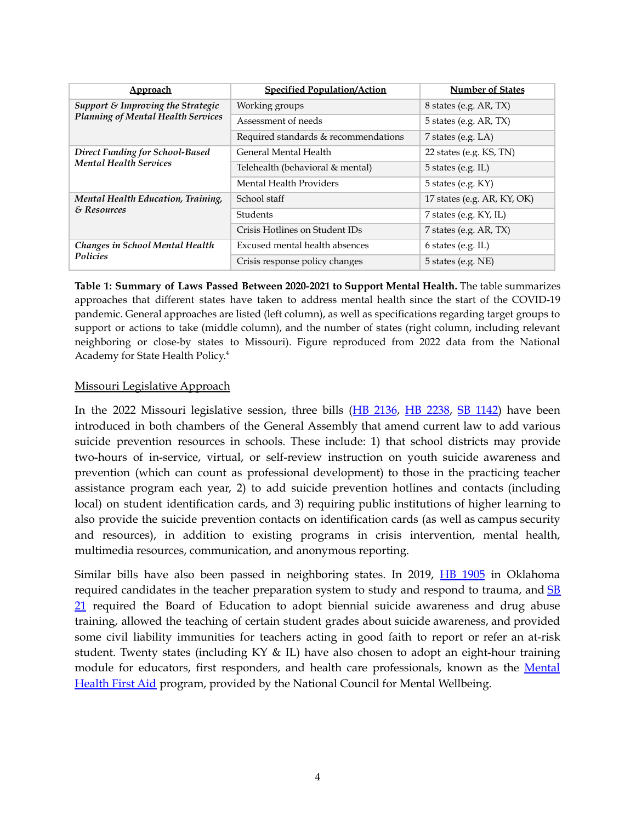| <b>Approach</b>                                                                   | <b>Specified Population/Action</b>   | <b>Number of States</b>       |
|-----------------------------------------------------------------------------------|--------------------------------------|-------------------------------|
| Support $\&$ Improving the Strategic<br><b>Planning of Mental Health Services</b> | Working groups                       | 8 states (e.g. AR, TX)        |
|                                                                                   | Assessment of needs                  | 5 states (e.g. $AR$ , $TX$ )  |
|                                                                                   | Required standards & recommendations | 7 states (e.g. $LA$ )         |
| <b>Direct Funding for School-Based</b><br><b>Mental Health Services</b>           | General Mental Health                | 22 states (e.g. $KS$ , $TN$ ) |
|                                                                                   | Telehealth (behavioral & mental)     | $5$ states (e.g. IL)          |
|                                                                                   | Mental Health Providers              | 5 states (e.g. $KY$ )         |
| Mental Health Education, Training,<br>& Resources                                 | School staff                         | 17 states (e.g. AR, KY, OK)   |
|                                                                                   | Students                             | 7 states (e.g. $KY$ , IL)     |
|                                                                                   | Crisis Hotlines on Student IDs       | 7 states (e.g. AR, TX)        |
| Changes in School Mental Health<br><b>Policies</b>                                | Excused mental health absences       | $6$ states (e.g. IL)          |
|                                                                                   | Crisis response policy changes       | $5$ states (e.g. NE)          |

**Table 1: Summary of Laws Passed Between 2020-2021 to Support Mental Health.** The table summarizes approaches that different states have taken to address mental health since the start of the COVID-19 pandemic. General approaches are listed (left column), as well as specifications regarding target groups to support or actions to take (middle column), and the number of states (right column, including relevant neighboring or close-by states to Missouri). Figure reproduced from 2022 data from the National Academy for State Health Policy. 4

#### Missouri Legislative Approach

In the 2022 Missouri legislative session, three bills (HB [2136](https://house.mo.gov/bill.aspx?bill=HB2136&year=2022&code=R), HB [2238,](https://house.mo.gov/bill.aspx?bill=HB2238&year=2022&code=R) SB [1142\)](https://www.senate.mo.gov/22info/BTS_Web/Bill.aspx?SessionType=R&BillID=75694409) have been introduced in both chambers of the General Assembly that amend current law to add various suicide prevention resources in schools. These include: 1) that school districts may provide two-hours of in-service, virtual, or self-review instruction on youth suicide awareness and prevention (which can count as professional development) to those in the practicing teacher assistance program each year, 2) to add suicide prevention hotlines and contacts (including local) on student identification cards, and 3) requiring public institutions of higher learning to also provide the suicide prevention contacts on identification cards (as well as campus security and resources), in addition to existing programs in crisis intervention, mental health, multimedia resources, communication, and anonymous reporting.

Similar bills have also been passed in neighboring states. In 2019, HB [1905](http://www.oklegislature.gov/BillInfo.aspx?Bill=HB1905&Session=1900&Tab=0) in Oklahoma required candidates in the teacher preparation system to study and respond to trauma, and  $SB$ [21](http://www.oklegislature.gov/BillInfo.aspx?Bill=SB21) required the Board of Education to adopt biennial suicide awareness and drug abuse training, allowed the teaching of certain student grades about suicide awareness, and provided some civil liability immunities for teachers acting in good faith to report or refer an at-risk student. Twenty states (including KY & IL) have also chosen to adopt an eight-hour training module for educators, first responders, and health care professionals, known as the [Mental](https://www.mentalhealthfirstaid.org/about/legislation-policy/) [Health](https://www.mentalhealthfirstaid.org/about/legislation-policy/) First Aid program, provided by the National Council for Mental Wellbeing.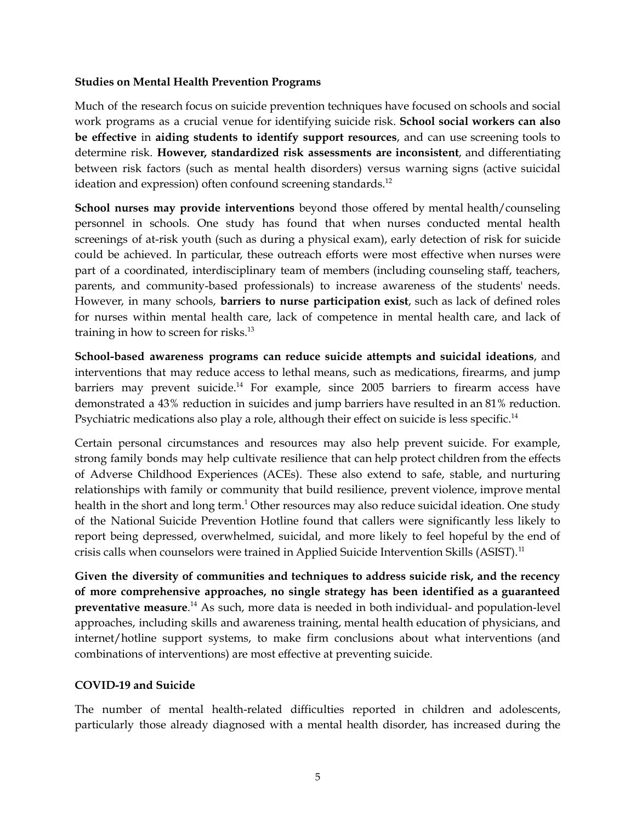#### **Studies on Mental Health Prevention Programs**

Much of the research focus on suicide prevention techniques have focused on schools and social work programs as a crucial venue for identifying suicide risk. **School social workers can also be effective** in **aiding students to identify support resources**, and can use screening tools to determine risk. **However, standardized risk assessments are inconsistent**, and differentiating between risk factors (such as mental health disorders) versus warning signs (active suicidal ideation and expression) often confound screening standards.<sup>12</sup>

**School nurses may provide interventions** beyond those offered by mental health/counseling personnel in schools. One study has found that when nurses conducted mental health screenings of at-risk youth (such as during a physical exam), early detection of risk for suicide could be achieved. In particular, these outreach efforts were most effective when nurses were part of a coordinated, interdisciplinary team of members (including counseling staff, teachers, parents, and community-based professionals) to increase awareness of the students' needs. However, in many schools, **barriers to nurse participation exist**, such as lack of defined roles for nurses within mental health care, lack of competence in mental health care, and lack of training in how to screen for risks. 13

**School-based awareness programs can reduce suicide attempts and suicidal ideations**, and interventions that may reduce access to lethal means, such as medications, firearms, and jump barriers may prevent suicide.<sup>14</sup> For example, since 2005 barriers to firearm access have demonstrated a 43% reduction in suicides and jump barriers have resulted in an 81% reduction. Psychiatric medications also play a role, although their effect on suicide is less specific.<sup>14</sup>

Certain personal circumstances and resources may also help prevent suicide. For example, strong family bonds may help cultivate resilience that can help protect children from the effects of Adverse Childhood Experiences (ACEs). These also extend to safe, stable, and nurturing relationships with family or community that build resilience, prevent violence, improve mental health in the short and long term.<sup>1</sup> Other resources may also reduce suicidal ideation. One study of the National Suicide Prevention Hotline found that callers were significantly less likely to report being depressed, overwhelmed, suicidal, and more likely to feel hopeful by the end of crisis calls when counselors were trained in Applied Suicide Intervention Skills (ASIST).<sup>11</sup>

**Given the diversity of communities and techniques to address suicide risk, and the recency of more comprehensive approaches, no single strategy has been identified as a guaranteed preventative measure**. <sup>14</sup> As such, more data is needed in both individual- and population-level approaches, including skills and awareness training, mental health education of physicians, and internet/hotline support systems, to make firm conclusions about what interventions (and combinations of interventions) are most effective at preventing suicide.

#### **COVID-19 and Suicide**

The number of mental health-related difficulties reported in children and adolescents, particularly those already diagnosed with a mental health disorder, has increased during the